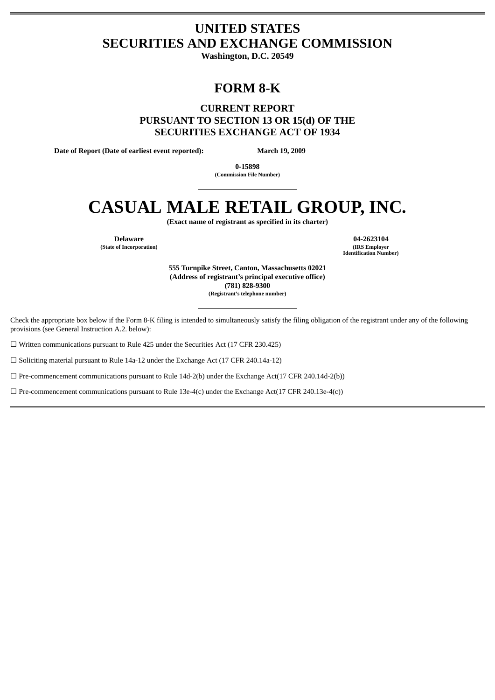# **UNITED STATES SECURITIES AND EXCHANGE COMMISSION**

**Washington, D.C. 20549**

# **FORM 8-K**

**CURRENT REPORT PURSUANT TO SECTION 13 OR 15(d) OF THE SECURITIES EXCHANGE ACT OF 1934**

**Date of Report (Date of earliest event reported): March 19, 2009**

**0-15898 (Commission File Number)**

# **CASUAL MALE RETAIL GROUP, INC.**

**(Exact name of registrant as specified in its charter)**

**(State of Incorporation) (IRS Employer**

**Delaware 04-2623104 Identification Number)**

> **555 Turnpike Street, Canton, Massachusetts 02021 (Address of registrant's principal executive office) (781) 828-9300 (Registrant's telephone number)**

Check the appropriate box below if the Form 8-K filing is intended to simultaneously satisfy the filing obligation of the registrant under any of the following provisions (see General Instruction A.2. below):

☐ Written communications pursuant to Rule 425 under the Securities Act (17 CFR 230.425)

☐ Soliciting material pursuant to Rule 14a-12 under the Exchange Act (17 CFR 240.14a-12)

 $\Box$  Pre-commencement communications pursuant to Rule 14d-2(b) under the Exchange Act(17 CFR 240.14d-2(b))

 $\Box$  Pre-commencement communications pursuant to Rule 13e-4(c) under the Exchange Act(17 CFR 240.13e-4(c))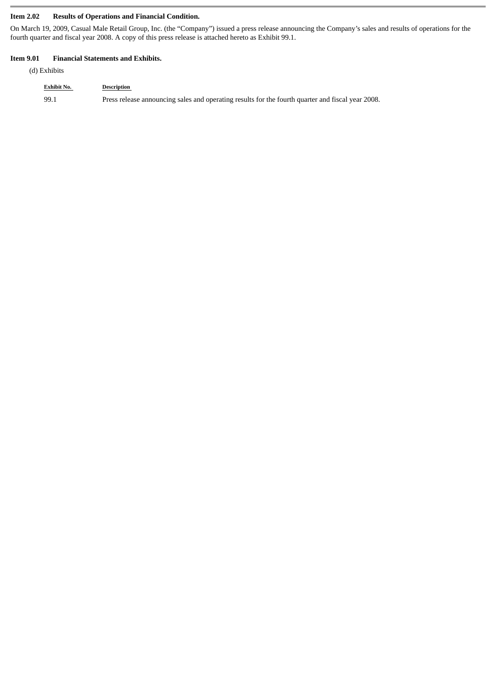### **Item 2.02 Results of Operations and Financial Condition.**

On March 19, 2009, Casual Male Retail Group, Inc. (the "Company") issued a press release announcing the Company's sales and results of operations for the fourth quarter and fiscal year 2008. A copy of this press release is attached hereto as Exhibit 99.1.

#### **Item 9.01 Financial Statements and Exhibits.**

(d) Exhibits

# **Exhibit No. Description**

99.1 Press release announcing sales and operating results for the fourth quarter and fiscal year 2008.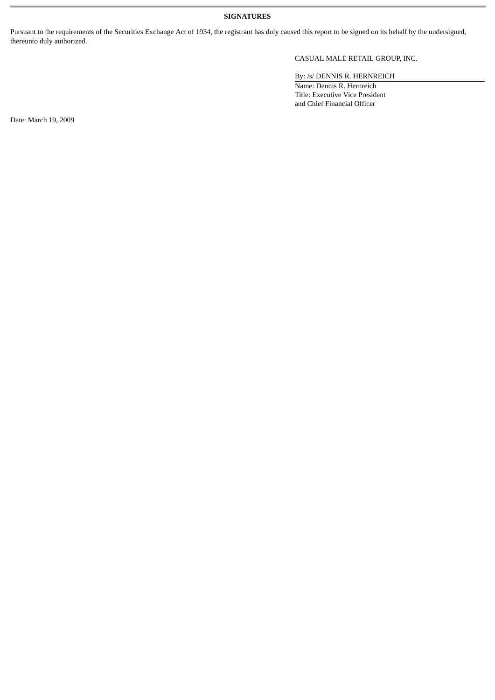## **SIGNATURES**

Pursuant to the requirements of the Securities Exchange Act of 1934, the registrant has duly caused this report to be signed on its behalf by the undersigned, thereunto duly authorized.

# CASUAL MALE RETAIL GROUP, INC.

By: /s/ DENNIS R. HERNREICH

Name: Dennis R. Hernreich Title: Executive Vice President and Chief Financial Officer

Date: March 19, 2009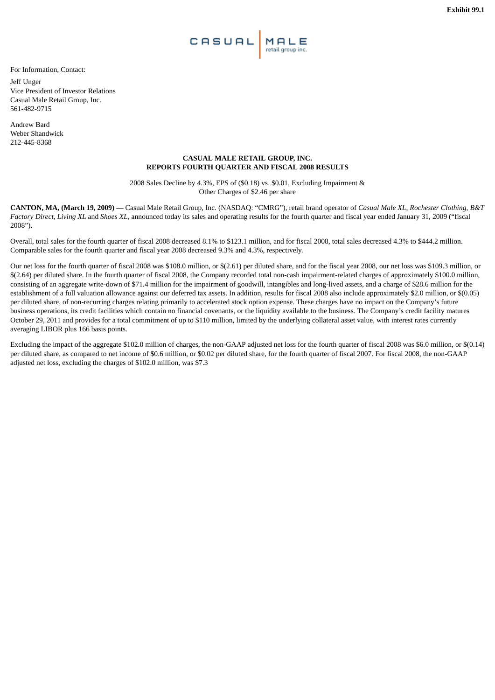

For Information, Contact:

Jeff Unger Vice President of Investor Relations Casual Male Retail Group, Inc. 561-482-9715

Andrew Bard Weber Shandwick 212-445-8368

#### **CASUAL MALE RETAIL GROUP, INC. REPORTS FOURTH QUARTER AND FISCAL 2008 RESULTS**

2008 Sales Decline by 4.3%, EPS of (\$0.18) vs. \$0.01, Excluding Impairment & Other Charges of \$2.46 per share

**CANTON, MA, (March 19, 2009)** — Casual Male Retail Group, Inc. (NASDAQ: "CMRG"), retail brand operator of *Casual Male XL*, *Rochester Clothing*, *B&T Factory Direct*, *Living XL* and *Shoes XL*, announced today its sales and operating results for the fourth quarter and fiscal year ended January 31, 2009 ("fiscal 2008").

Overall, total sales for the fourth quarter of fiscal 2008 decreased 8.1% to \$123.1 million, and for fiscal 2008, total sales decreased 4.3% to \$444.2 million. Comparable sales for the fourth quarter and fiscal year 2008 decreased 9.3% and 4.3%, respectively.

Our net loss for the fourth quarter of fiscal 2008 was \$108.0 million, or \$(2.61) per diluted share, and for the fiscal year 2008, our net loss was \$109.3 million, or \$(2.64) per diluted share. In the fourth quarter of fiscal 2008, the Company recorded total non-cash impairment-related charges of approximately \$100.0 million, consisting of an aggregate write-down of \$71.4 million for the impairment of goodwill, intangibles and long-lived assets, and a charge of \$28.6 million for the establishment of a full valuation allowance against our deferred tax assets. In addition, results for fiscal 2008 also include approximately \$2.0 million, or \$(0.05) per diluted share, of non-recurring charges relating primarily to accelerated stock option expense. These charges have no impact on the Company's future business operations, its credit facilities which contain no financial covenants, or the liquidity available to the business. The Company's credit facility matures October 29, 2011 and provides for a total commitment of up to \$110 million, limited by the underlying collateral asset value, with interest rates currently averaging LIBOR plus 166 basis points.

Excluding the impact of the aggregate \$102.0 million of charges, the non-GAAP adjusted net loss for the fourth quarter of fiscal 2008 was \$6.0 million, or \$(0.14) per diluted share, as compared to net income of \$0.6 million, or \$0.02 per diluted share, for the fourth quarter of fiscal 2007. For fiscal 2008, the non-GAAP adjusted net loss, excluding the charges of \$102.0 million, was \$7.3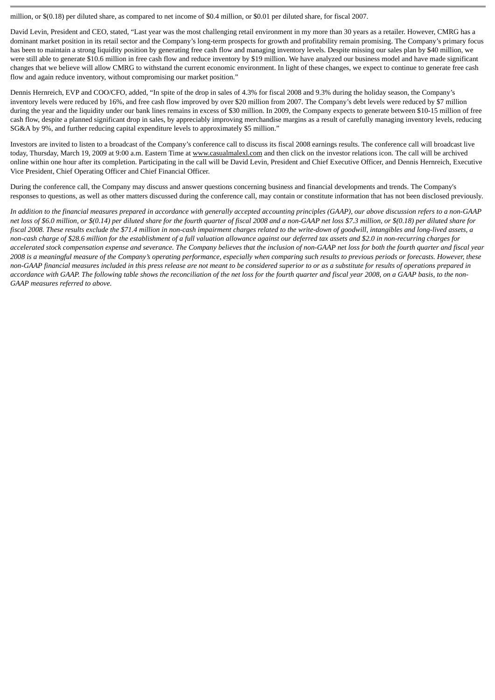million, or \$(0.18) per diluted share, as compared to net income of \$0.4 million, or \$0.01 per diluted share, for fiscal 2007.

David Levin, President and CEO, stated, "Last year was the most challenging retail environment in my more than 30 years as a retailer. However, CMRG has a dominant market position in its retail sector and the Company's long-term prospects for growth and profitability remain promising. The Company's primary focus has been to maintain a strong liquidity position by generating free cash flow and managing inventory levels. Despite missing our sales plan by \$40 million, we were still able to generate \$10.6 million in free cash flow and reduce inventory by \$19 million. We have analyzed our business model and have made significant changes that we believe will allow CMRG to withstand the current economic environment. In light of these changes, we expect to continue to generate free cash flow and again reduce inventory, without compromising our market position."

Dennis Hernreich, EVP and COO/CFO, added, "In spite of the drop in sales of 4.3% for fiscal 2008 and 9.3% during the holiday season, the Company's inventory levels were reduced by 16%, and free cash flow improved by over \$20 million from 2007. The Company's debt levels were reduced by \$7 million during the year and the liquidity under our bank lines remains in excess of \$30 million. In 2009, the Company expects to generate between \$10-15 million of free cash flow, despite a planned significant drop in sales, by appreciably improving merchandise margins as a result of carefully managing inventory levels, reducing SG&A by 9%, and further reducing capital expenditure levels to approximately \$5 million."

Investors are invited to listen to a broadcast of the Company's conference call to discuss its fiscal 2008 earnings results. The conference call will broadcast live today, Thursday, March 19, 2009 at 9:00 a.m. Eastern Time at www.casualmalexl.com and then click on the investor relations icon. The call will be archived online within one hour after its completion. Participating in the call will be David Levin, President and Chief Executive Officer, and Dennis Hernreich, Executive Vice President, Chief Operating Officer and Chief Financial Officer.

During the conference call, the Company may discuss and answer questions concerning business and financial developments and trends. The Company's responses to questions, as well as other matters discussed during the conference call, may contain or constitute information that has not been disclosed previously.

*In addition to the financial measures prepared in accordance with generally accepted accounting principles (GAAP), our above discussion refers to a non-GAAP net loss of \$6.0 million, or \$(0.14) per diluted share for the fourth quarter of fiscal 2008 and a non-GAAP net loss \$7.3 million, or \$(0.18) per diluted share for fiscal 2008. These results exclude the \$71.4 million in non-cash impairment charges related to the write-down of goodwill, intangibles and long-lived assets, a non-cash charge of \$28.6 million for the establishment of a full valuation allowance against our deferred tax assets and \$2.0 in non-recurring charges for accelerated stock compensation expense and severance. The Company believes that the inclusion of non-GAAP net loss for both the fourth quarter and fiscal year 2008 is a meaningful measure of the Company's operating performance, especially when comparing such results to previous periods or forecasts. However, these non-GAAP financial measures included in this press release are not meant to be considered superior to or as a substitute for results of operations prepared in accordance with GAAP. The following table shows the reconciliation of the net loss for the fourth quarter and fiscal year 2008, on a GAAP basis, to the non-GAAP measures referred to above.*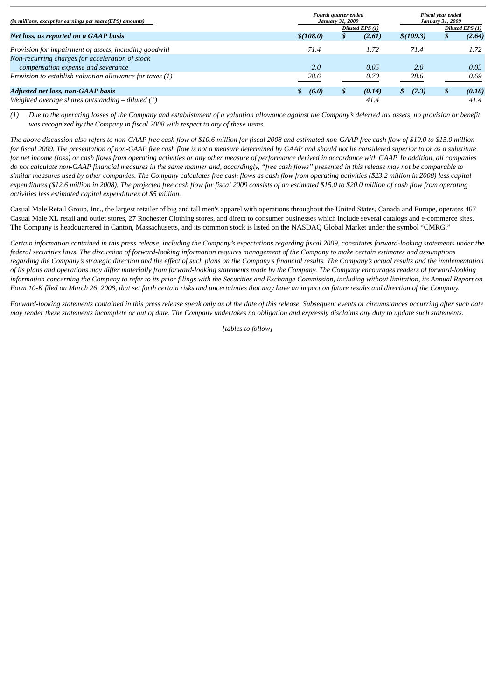| (in millions, except for earnings per share(EPS) amounts) |            | Fourth quarter ended<br><b>January 31, 2009</b> |        |           |                 | <b>Fiscal year ended</b><br><b>January 31, 2009</b> |  |  |  |
|-----------------------------------------------------------|------------|-------------------------------------------------|--------|-----------|-----------------|-----------------------------------------------------|--|--|--|
|                                                           |            | Diluted EPS (1)                                 |        |           | Diluted EPS (1) |                                                     |  |  |  |
| Net loss, as reported on a GAAP basis                     | \$(108.0)  | Φ                                               | (2.61) | \$(109.3) |                 | (2.64)                                              |  |  |  |
| Provision for impairment of assets, including goodwill    | 71.4       |                                                 | 1.72   | 71.4      |                 | 1.72                                                |  |  |  |
| Non-recurring charges for acceleration of stock           |            |                                                 |        |           |                 |                                                     |  |  |  |
| compensation expense and severance                        | 2.0        |                                                 | 0.05   | 2.0       |                 | 0.05                                                |  |  |  |
| Provision to establish valuation allowance for taxes (1)  | 28.6       |                                                 | 0.70   | 28.6      |                 | 0.69                                                |  |  |  |
| <b>Adjusted net loss, non-GAAP basis</b>                  | (6.0)<br>Φ | S                                               | (0.14) | (7.3)     | S               | (0.18)                                              |  |  |  |
| Weighted average shares outstanding – diluted (1)         |            |                                                 | 41.4   |           |                 | 41.4                                                |  |  |  |

*(1) Due to the operating losses of the Company and establishment of a valuation allowance against the Company's deferred tax assets, no provision or benefit was recognized by the Company in fiscal 2008 with respect to any of these items.*

*The above discussion also refers to non-GAAP free cash flow of \$10.6 million for fiscal 2008 and estimated non-GAAP free cash flow of \$10.0 to \$15.0 million for fiscal 2009. The presentation of non-GAAP free cash flow is not a measure determined by GAAP and should not be considered superior to or as a substitute for net income (loss) or cash flows from operating activities or any other measure of performance derived in accordance with GAAP. In addition, all companies do not calculate non-GAAP financial measures in the same manner and, accordingly, "free cash flows" presented in this release may not be comparable to similar measures used by other companies. The Company calculates free cash flows as cash flow from operating activities (\$23.2 million in 2008) less capital expenditures (\$12.6 million in 2008). The projected free cash flow for fiscal 2009 consists of an estimated \$15.0 to \$20.0 million of cash flow from operating activities less estimated capital expenditures of \$5 million.*

Casual Male Retail Group, Inc., the largest retailer of big and tall men's apparel with operations throughout the United States, Canada and Europe, operates 467 Casual Male XL retail and outlet stores, 27 Rochester Clothing stores, and direct to consumer businesses which include several catalogs and e-commerce sites. The Company is headquartered in Canton, Massachusetts, and its common stock is listed on the NASDAQ Global Market under the symbol "CMRG."

*Certain information contained in this press release, including the Company's expectations regarding fiscal 2009, constitutes forward-looking statements under the federal securities laws. The discussion of forward-looking information requires management of the Company to make certain estimates and assumptions regarding the Company's strategic direction and the effect of such plans on the Company's financial results. The Company's actual results and the implementation of its plans and operations may differ materially from forward-looking statements made by the Company. The Company encourages readers of forward-looking information concerning the Company to refer to its prior filings with the Securities and Exchange Commission, including without limitation, its Annual Report on Form 10-K filed on March 26, 2008, that set forth certain risks and uncertainties that may have an impact on future results and direction of the Company.*

*Forward-looking statements contained in this press release speak only as of the date of this release. Subsequent events or circumstances occurring after such date may render these statements incomplete or out of date. The Company undertakes no obligation and expressly disclaims any duty to update such statements.*

*[tables to follow]*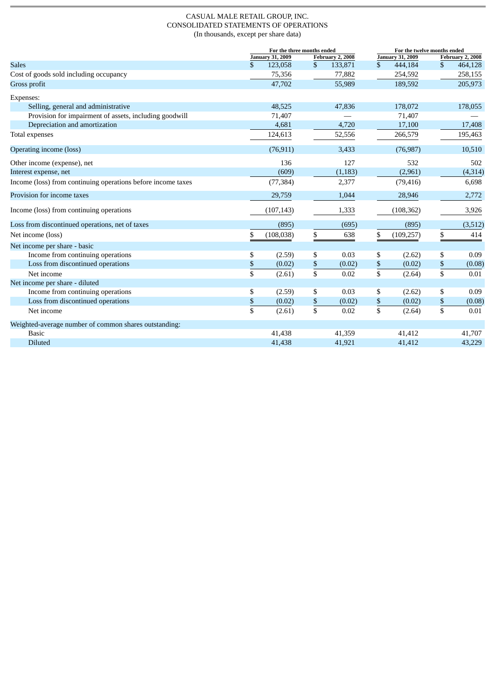#### CASUAL MALE RETAIL GROUP, INC. CONSOLIDATED STATEMENTS OF OPERATIONS (In thousands, except per share data)

|                                                              |                         | For the three months ended |                  |                  | For the twelve months ended |                         |                 |                  |
|--------------------------------------------------------------|-------------------------|----------------------------|------------------|------------------|-----------------------------|-------------------------|-----------------|------------------|
|                                                              |                         | <b>January 31, 2009</b>    |                  | February 2, 2008 |                             | <b>January 31, 2009</b> |                 | February 2, 2008 |
| <b>Sales</b>                                                 | \$                      | 123,058                    | \$               | 133,871          | $\mathbb{S}$                | 444,184                 | \$              | 464,128          |
| Cost of goods sold including occupancy                       |                         | 75,356                     |                  | 77,882           |                             | 254,592                 |                 | 258,155          |
| Gross profit                                                 |                         | 47,702                     |                  | 55,989           |                             | 189,592                 |                 | 205,973          |
| Expenses:                                                    |                         |                            |                  |                  |                             |                         |                 |                  |
| Selling, general and administrative                          |                         | 48,525                     |                  | 47,836           |                             | 178,072                 |                 | 178,055          |
| Provision for impairment of assets, including goodwill       |                         | 71,407                     |                  |                  |                             | 71,407                  |                 |                  |
| Depreciation and amortization                                |                         | 4,681                      |                  | 4,720            |                             | 17,100                  |                 | 17,408           |
| Total expenses                                               |                         | 124,613                    |                  | 52,556           |                             | 266,579                 |                 | 195,463          |
| Operating income (loss)                                      |                         | (76, 911)                  |                  | 3,433            |                             | (76, 987)               |                 | 10,510           |
| Other income (expense), net                                  |                         | 136                        |                  | 127              |                             | 532                     |                 | 502              |
| Interest expense, net                                        |                         | (609)                      |                  | (1, 183)         |                             | (2,961)                 |                 | (4, 314)         |
| Income (loss) from continuing operations before income taxes |                         | (77, 384)                  |                  | 2,377            |                             | (79, 416)               |                 | 6,698            |
| Provision for income taxes                                   |                         | 29,759                     |                  | 1,044            |                             | 28,946                  |                 | 2,772            |
| Income (loss) from continuing operations                     |                         | (107, 143)                 |                  | 1,333            |                             | (108, 362)              |                 | 3,926            |
| Loss from discontinued operations, net of taxes              |                         | (895)                      |                  | (695)            |                             | (895)                   |                 | (3,512)          |
| Net income (loss)                                            | \$                      | (108, 038)                 | \$               | 638              | \$                          | (109, 257)              | \$              | 414              |
| Net income per share - basic                                 |                         |                            |                  |                  |                             |                         |                 |                  |
| Income from continuing operations                            | \$                      | (2.59)                     | \$               | 0.03             | \$                          | (2.62)                  | \$              | 0.09             |
| Loss from discontinued operations                            | \$                      | (0.02)                     | $\underline{\$}$ | (0.02)           | $\boldsymbol{\$}$           | (0.02)                  | $\mathbb S$     | (0.08)           |
| Net income                                                   | \$                      | (2.61)                     | \$               | 0.02             | \$                          | (2.64)                  | \$              | 0.01             |
| Net income per share - diluted                               |                         |                            |                  |                  |                             |                         |                 |                  |
| Income from continuing operations                            | \$                      | (2.59)                     | \$               | 0.03             | \$                          | (2.62)                  | \$              | 0.09             |
| Loss from discontinued operations                            | \$                      | (0.02)                     | $rac{1}{3}$      | (0.02)           | \$                          | (0.02)                  | $\mathbb{S}$    | (0.08)           |
| Net income                                                   | $\overline{\mathbb{S}}$ | (2.61)                     |                  | 0.02             | $\overline{\mathsf{s}}$     | (2.64)                  | $\overline{\$}$ | 0.01             |
| Weighted-average number of common shares outstanding:        |                         |                            |                  |                  |                             |                         |                 |                  |
| <b>Basic</b>                                                 |                         | 41,438                     |                  | 41,359           |                             | 41,412                  |                 | 41,707           |
| <b>Diluted</b>                                               |                         | 41,438                     |                  | 41,921           |                             | 41,412                  |                 | 43,229           |